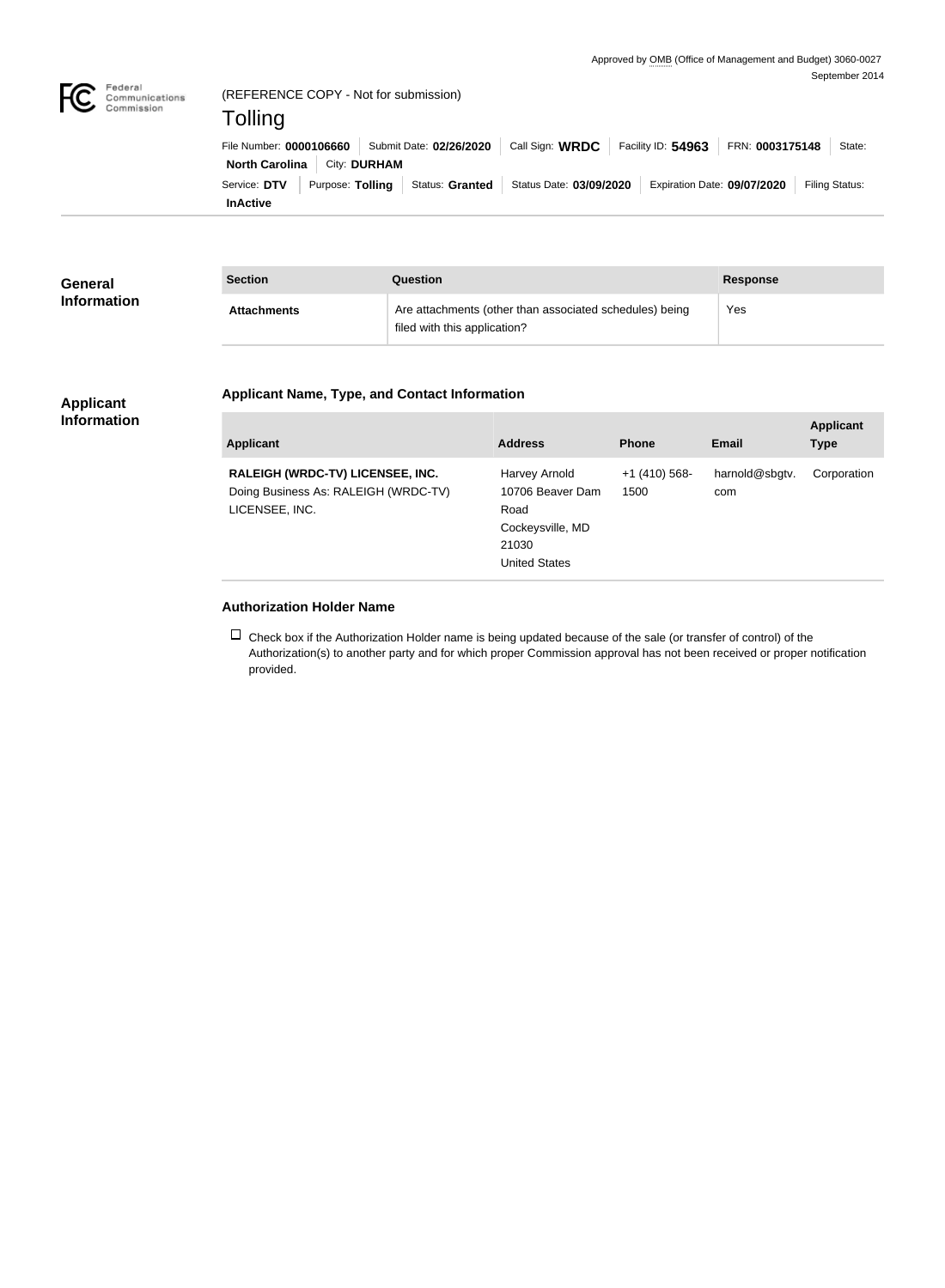

| <b>General</b><br><b>Information</b> | <b>Section</b>     | Question                                                                                | <b>Response</b> |
|--------------------------------------|--------------------|-----------------------------------------------------------------------------------------|-----------------|
|                                      | <b>Attachments</b> | Are attachments (other than associated schedules) being<br>filed with this application? | Yes             |

## **Applicant Name, Type, and Contact Information**

## **Applicant Information**

| <b>Applicant</b>                                                                           | <b>Address</b>                                                                                 | <b>Phone</b>            | <b>Email</b>          | <b>Applicant</b><br><b>Type</b> |
|--------------------------------------------------------------------------------------------|------------------------------------------------------------------------------------------------|-------------------------|-----------------------|---------------------------------|
| RALEIGH (WRDC-TV) LICENSEE, INC.<br>Doing Business As: RALEIGH (WRDC-TV)<br>LICENSEE, INC. | Harvey Arnold<br>10706 Beaver Dam<br>Road<br>Cockeysville, MD<br>21030<br><b>United States</b> | $+1$ (410) 568-<br>1500 | harnold@sbgtv.<br>com | Corporation                     |

## **Authorization Holder Name**

 $\Box$  Check box if the Authorization Holder name is being updated because of the sale (or transfer of control) of the Authorization(s) to another party and for which proper Commission approval has not been received or proper notification provided.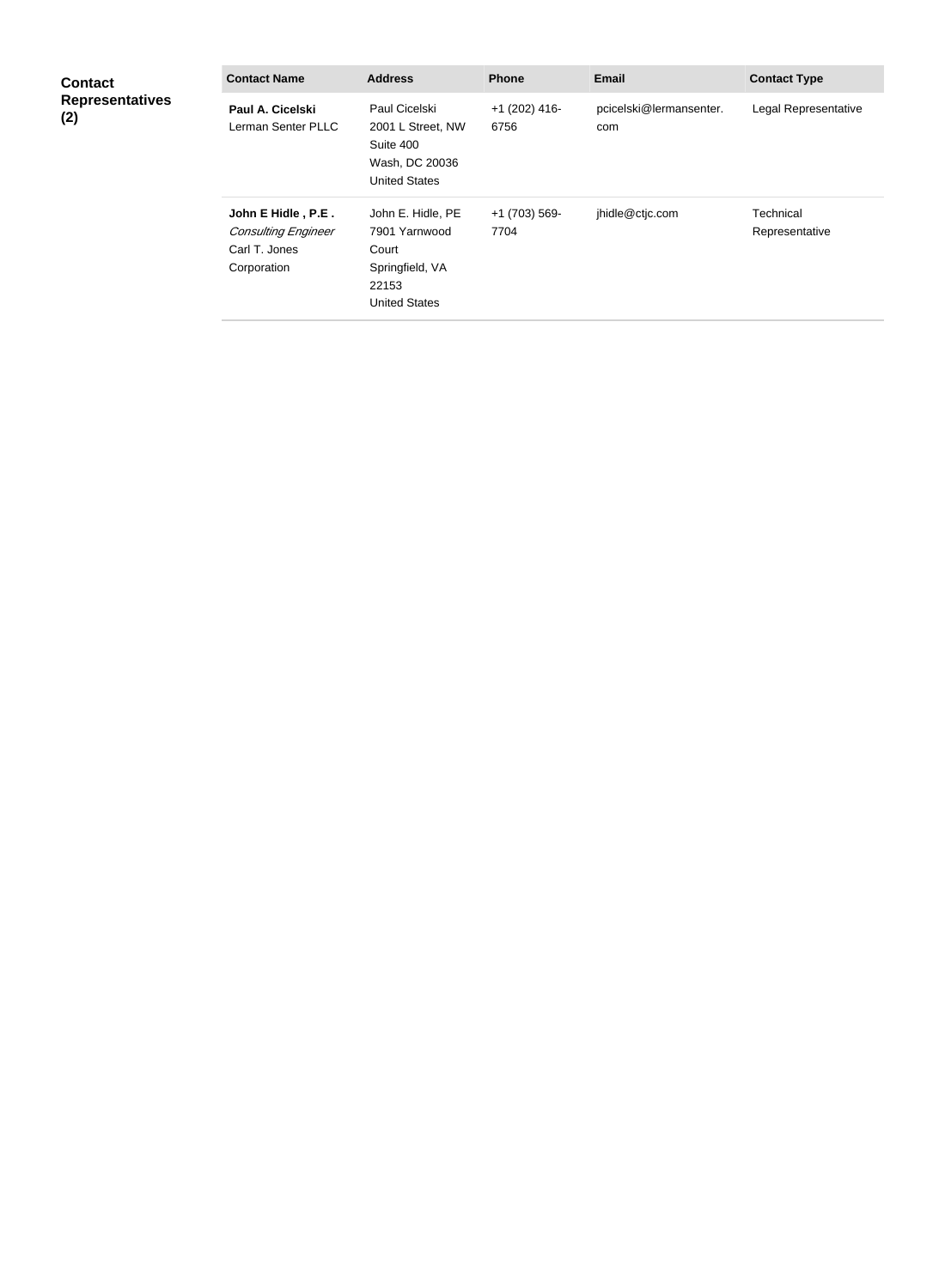| <b>Contact</b><br><b>Representatives</b><br>(2) | <b>Contact Name</b>                                                              | <b>Address</b>                                                                                  | <b>Phone</b>            | <b>Email</b>                   | <b>Contact Type</b>         |
|-------------------------------------------------|----------------------------------------------------------------------------------|-------------------------------------------------------------------------------------------------|-------------------------|--------------------------------|-----------------------------|
|                                                 | Paul A. Cicelski<br>Lerman Senter PLLC                                           | Paul Cicelski<br>2001 L Street, NW<br>Suite 400<br>Wash, DC 20036<br><b>United States</b>       | $+1$ (202) 416-<br>6756 | pcicelski@lermansenter.<br>com | Legal Representative        |
|                                                 | John E Hidle, P.E.<br><b>Consulting Engineer</b><br>Carl T. Jones<br>Corporation | John E. Hidle, PE<br>7901 Yarnwood<br>Court<br>Springfield, VA<br>22153<br><b>United States</b> | +1 (703) 569-<br>7704   | jhidle@ctjc.com                | Technical<br>Representative |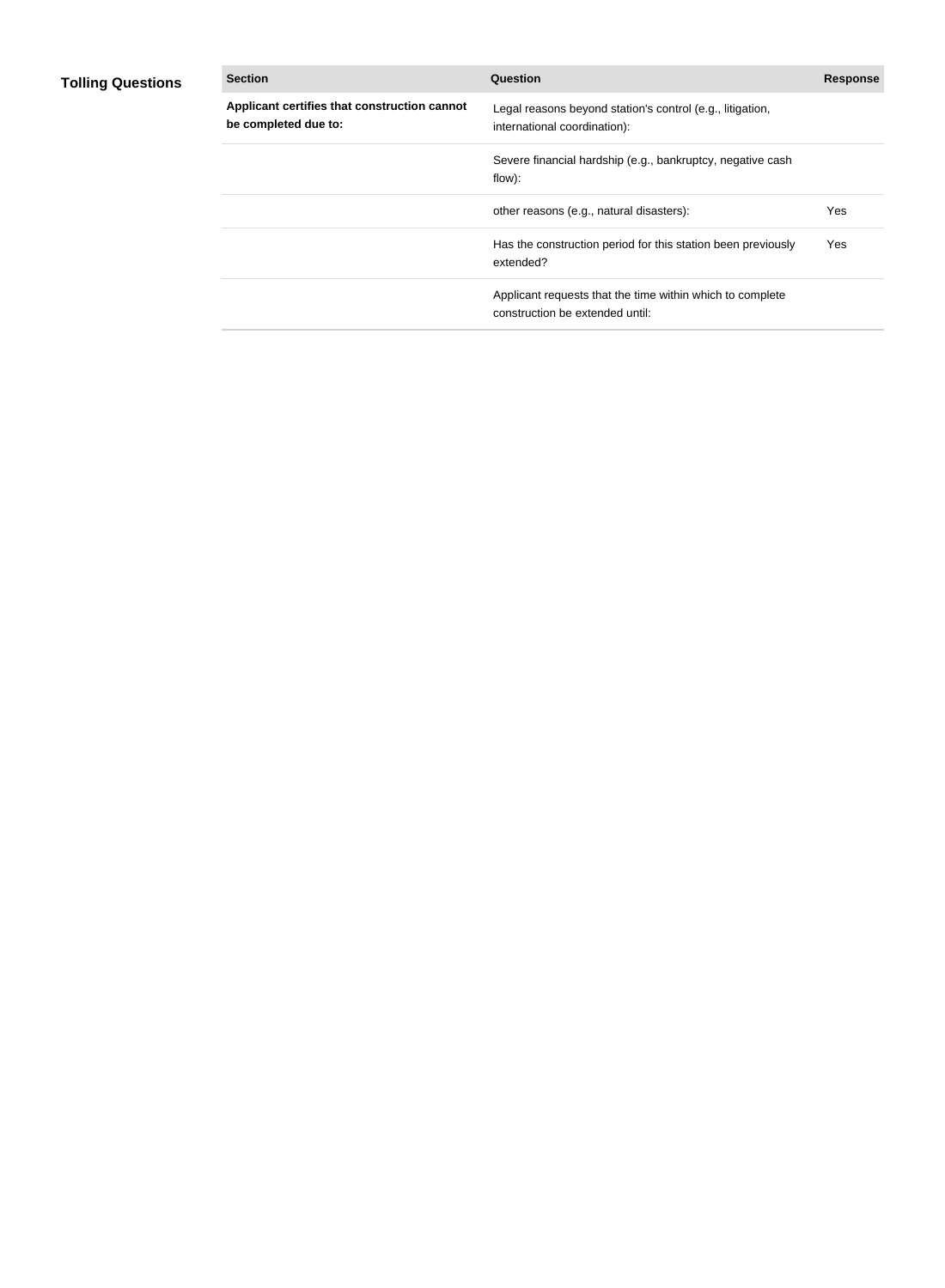## **Tolling Questions**

| <b>Section</b>                                                       | <b>Question</b>                                                                              | <b>Response</b> |
|----------------------------------------------------------------------|----------------------------------------------------------------------------------------------|-----------------|
| Applicant certifies that construction cannot<br>be completed due to: | Legal reasons beyond station's control (e.g., litigation,<br>international coordination):    |                 |
|                                                                      | Severe financial hardship (e.g., bankruptcy, negative cash<br>flow):                         |                 |
|                                                                      | other reasons (e.g., natural disasters):                                                     | Yes             |
|                                                                      | Has the construction period for this station been previously<br>extended?                    | Yes             |
|                                                                      | Applicant requests that the time within which to complete<br>construction be extended until: |                 |
|                                                                      |                                                                                              |                 |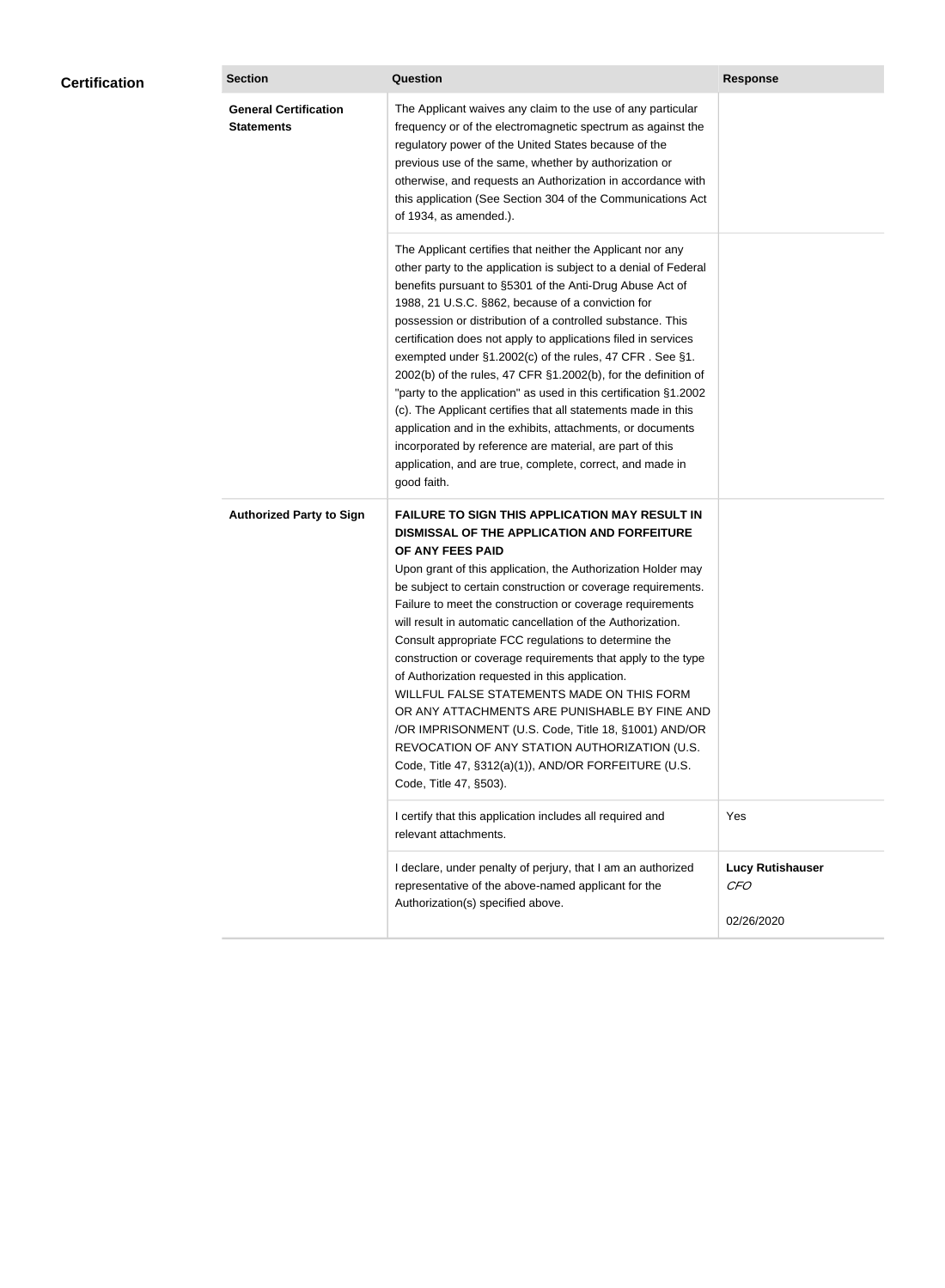| <b>Certification</b> | <b>Section</b>                                    | <b>Question</b>                                                                                                                                                                                                                                                                                                                                                                                                                                                                                                                                                                                                                                                                                                                                                                                                                                           | <b>Response</b>                                     |
|----------------------|---------------------------------------------------|-----------------------------------------------------------------------------------------------------------------------------------------------------------------------------------------------------------------------------------------------------------------------------------------------------------------------------------------------------------------------------------------------------------------------------------------------------------------------------------------------------------------------------------------------------------------------------------------------------------------------------------------------------------------------------------------------------------------------------------------------------------------------------------------------------------------------------------------------------------|-----------------------------------------------------|
|                      | <b>General Certification</b><br><b>Statements</b> | The Applicant waives any claim to the use of any particular<br>frequency or of the electromagnetic spectrum as against the<br>regulatory power of the United States because of the<br>previous use of the same, whether by authorization or<br>otherwise, and requests an Authorization in accordance with<br>this application (See Section 304 of the Communications Act<br>of 1934, as amended.).                                                                                                                                                                                                                                                                                                                                                                                                                                                       |                                                     |
|                      |                                                   | The Applicant certifies that neither the Applicant nor any<br>other party to the application is subject to a denial of Federal<br>benefits pursuant to §5301 of the Anti-Drug Abuse Act of<br>1988, 21 U.S.C. §862, because of a conviction for<br>possession or distribution of a controlled substance. This<br>certification does not apply to applications filed in services<br>exempted under §1.2002(c) of the rules, 47 CFR. See §1.<br>2002(b) of the rules, 47 CFR §1.2002(b), for the definition of<br>"party to the application" as used in this certification §1.2002<br>(c). The Applicant certifies that all statements made in this<br>application and in the exhibits, attachments, or documents<br>incorporated by reference are material, are part of this<br>application, and are true, complete, correct, and made in<br>good faith.   |                                                     |
|                      | <b>Authorized Party to Sign</b>                   | <b>FAILURE TO SIGN THIS APPLICATION MAY RESULT IN</b><br>DISMISSAL OF THE APPLICATION AND FORFEITURE<br>OF ANY FEES PAID<br>Upon grant of this application, the Authorization Holder may<br>be subject to certain construction or coverage requirements.<br>Failure to meet the construction or coverage requirements<br>will result in automatic cancellation of the Authorization.<br>Consult appropriate FCC regulations to determine the<br>construction or coverage requirements that apply to the type<br>of Authorization requested in this application.<br>WILLFUL FALSE STATEMENTS MADE ON THIS FORM<br>OR ANY ATTACHMENTS ARE PUNISHABLE BY FINE AND<br>/OR IMPRISONMENT (U.S. Code, Title 18, §1001) AND/OR<br>REVOCATION OF ANY STATION AUTHORIZATION (U.S.<br>Code, Title 47, §312(a)(1)), AND/OR FORFEITURE (U.S.<br>Code, Title 47, §503). |                                                     |
|                      |                                                   | I certify that this application includes all required and<br>relevant attachments.                                                                                                                                                                                                                                                                                                                                                                                                                                                                                                                                                                                                                                                                                                                                                                        | Yes                                                 |
|                      |                                                   | I declare, under penalty of perjury, that I am an authorized<br>representative of the above-named applicant for the<br>Authorization(s) specified above.                                                                                                                                                                                                                                                                                                                                                                                                                                                                                                                                                                                                                                                                                                  | <b>Lucy Rutishauser</b><br><b>CFO</b><br>02/26/2020 |